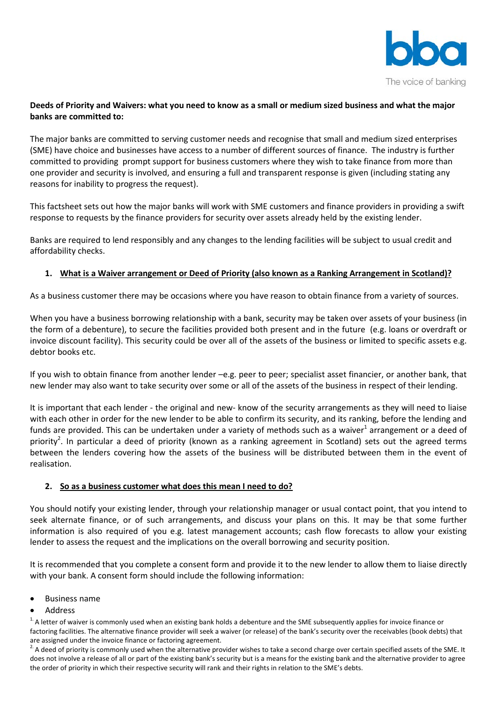

# **Deeds of Priority and Waivers: what you need to know as a small or medium sized business and what the major banks are committed to:**

The major banks are committed to serving customer needs and recognise that small and medium sized enterprises (SME) have choice and businesses have access to a number of different sources of finance. The industry is further committed to providing prompt support for business customers where they wish to take finance from more than one provider and security is involved, and ensuring a full and transparent response is given (including stating any reasons for inability to progress the request).

This factsheet sets out how the major banks will work with SME customers and finance providers in providing a swift response to requests by the finance providers for security over assets already held by the existing lender.

Banks are required to lend responsibly and any changes to the lending facilities will be subject to usual credit and affordability checks.

# **1. What is a Waiver arrangement or Deed of Priority (also known as a Ranking Arrangement in Scotland)?**

As a business customer there may be occasions where you have reason to obtain finance from a variety of sources.

When you have a business borrowing relationship with a bank, security may be taken over assets of your business (in the form of a debenture), to secure the facilities provided both present and in the future (e.g. loans or overdraft or invoice discount facility). This security could be over all of the assets of the business or limited to specific assets e.g. debtor books etc.

If you wish to obtain finance from another lender –e.g. peer to peer; specialist asset financier, or another bank, that new lender may also want to take security over some or all of the assets of the business in respect of their lending.

It is important that each lender - the original and new- know of the security arrangements as they will need to liaise with each other in order for the new lender to be able to confirm its security, and its ranking, before the lending and funds are provided. This can be undertaken under a variety of methods such as a waiver<sup>1</sup> arrangement or a deed of priority<sup>2</sup>. In particular a deed of priority (known as a ranking agreement in Scotland) sets out the agreed terms between the lenders covering how the assets of the business will be distributed between them in the event of realisation.

## **2. So as a business customer what does this mean I need to do?**

You should notify your existing lender, through your relationship manager or usual contact point, that you intend to seek alternate finance, or of such arrangements, and discuss your plans on this. It may be that some further information is also required of you e.g. latest management accounts; cash flow forecasts to allow your existing lender to assess the request and the implications on the overall borrowing and security position.

It is recommended that you complete a consent form and provide it to the new lender to allow them to liaise directly with your bank. A consent form should include the following information:

- Business name
- Address

<sup>1.</sup> A letter of waiver is commonly used when an existing bank holds a debenture and the SME subsequently applies for invoice finance or factoring facilities. The alternative finance provider will seek a waiver (or release) of the bank's security over the receivables (book debts) that are assigned under the invoice finance or factoring agreement.

<sup>2.</sup> A deed of priority is commonly used when the alternative provider wishes to take a second charge over certain specified assets of the SME. It does not involve a release of all or part of the existing bank's security but is a means for the existing bank and the alternative provider to agree the order of priority in which their respective security will rank and their rights in relation to the SME's debts.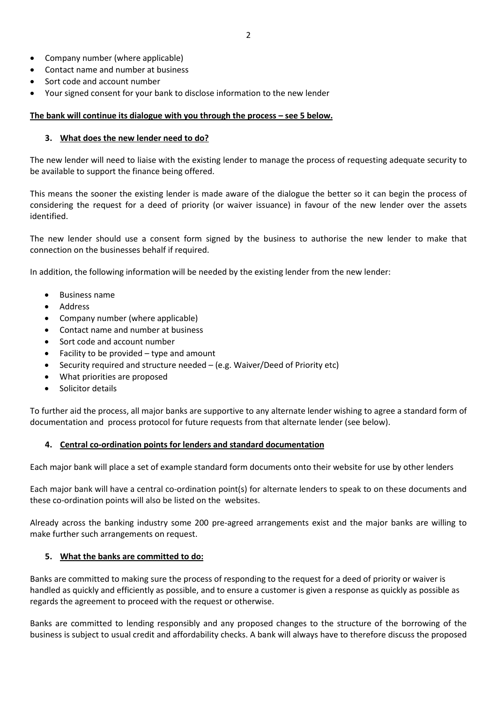- Company number (where applicable)
- Contact name and number at business
- Sort code and account number
- Your signed consent for your bank to disclose information to the new lender

## **The bank will continue its dialogue with you through the process – see 5 below.**

#### **3. What does the new lender need to do?**

The new lender will need to liaise with the existing lender to manage the process of requesting adequate security to be available to support the finance being offered.

This means the sooner the existing lender is made aware of the dialogue the better so it can begin the process of considering the request for a deed of priority (or waiver issuance) in favour of the new lender over the assets identified.

The new lender should use a consent form signed by the business to authorise the new lender to make that connection on the businesses behalf if required.

In addition, the following information will be needed by the existing lender from the new lender:

- Business name
- Address
- Company number (where applicable)
- Contact name and number at business
- Sort code and account number
- Facility to be provided type and amount
- Security required and structure needed (e.g. Waiver/Deed of Priority etc)
- What priorities are proposed
- Solicitor details

To further aid the process, all major banks are supportive to any alternate lender wishing to agree a standard form of documentation and process protocol for future requests from that alternate lender (see below).

## **4. Central co-ordination points for lenders and standard documentation**

Each major bank will place a set of example standard form documents onto their website for use by other lenders

Each major bank will have a central co-ordination point(s) for alternate lenders to speak to on these documents and these co-ordination points will also be listed on the websites.

Already across the banking industry some 200 pre-agreed arrangements exist and the major banks are willing to make further such arrangements on request.

## **5. What the banks are committed to do:**

Banks are committed to making sure the process of responding to the request for a deed of priority or waiver is handled as quickly and efficiently as possible, and to ensure a customer is given a response as quickly as possible as regards the agreement to proceed with the request or otherwise.

Banks are committed to lending responsibly and any proposed changes to the structure of the borrowing of the business is subject to usual credit and affordability checks. A bank will always have to therefore discuss the proposed